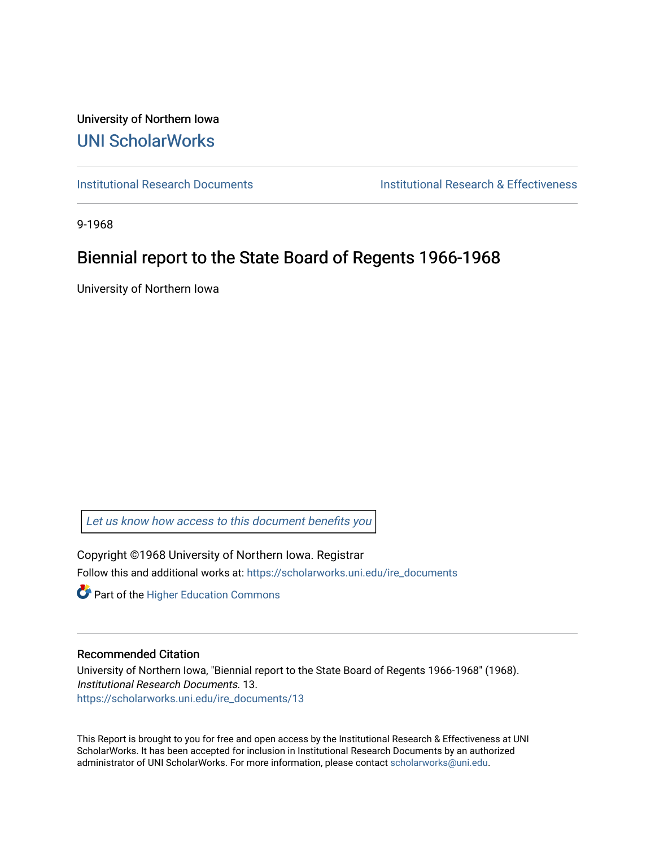University of Northern Iowa [UNI ScholarWorks](https://scholarworks.uni.edu/) 

[Institutional Research Documents](https://scholarworks.uni.edu/ire_documents) [Institutional Research & Effectiveness](https://scholarworks.uni.edu/ire) 

9-1968

# Biennial report to the State Board of Regents 1966-1968

University of Northern Iowa

[Let us know how access to this document benefits you](https://scholarworks.uni.edu/feedback_form.html) 

Copyright ©1968 University of Northern Iowa. Registrar Follow this and additional works at: [https://scholarworks.uni.edu/ire\\_documents](https://scholarworks.uni.edu/ire_documents?utm_source=scholarworks.uni.edu%2Fire_documents%2F13&utm_medium=PDF&utm_campaign=PDFCoverPages) 

**Part of the Higher Education Commons** 

## Recommended Citation

University of Northern Iowa, "Biennial report to the State Board of Regents 1966-1968" (1968). Institutional Research Documents. 13. [https://scholarworks.uni.edu/ire\\_documents/13](https://scholarworks.uni.edu/ire_documents/13?utm_source=scholarworks.uni.edu%2Fire_documents%2F13&utm_medium=PDF&utm_campaign=PDFCoverPages)

This Report is brought to you for free and open access by the Institutional Research & Effectiveness at UNI ScholarWorks. It has been accepted for inclusion in Institutional Research Documents by an authorized administrator of UNI ScholarWorks. For more information, please contact [scholarworks@uni.edu](mailto:scholarworks@uni.edu).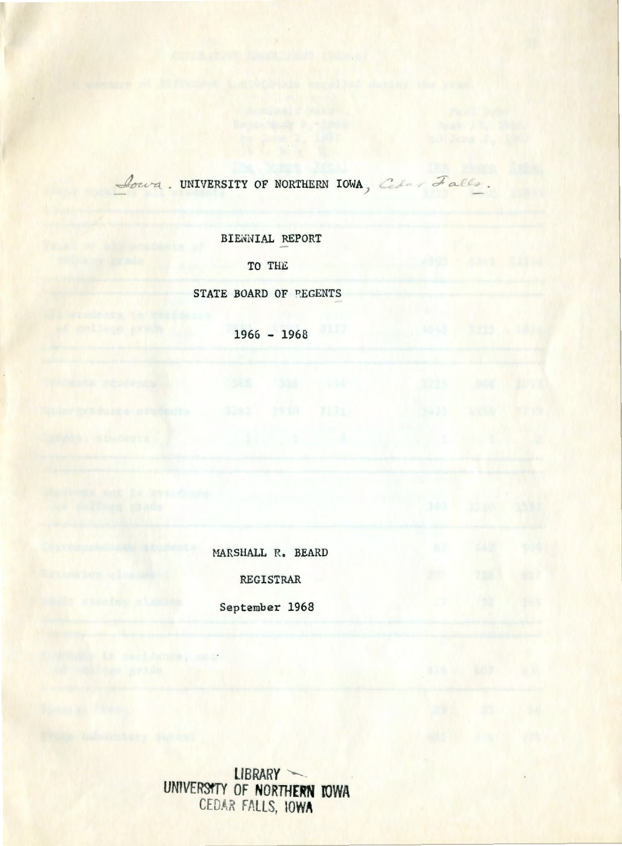Coura. UNIVERSITY OF NORTHERN IOWA, Colar Falls.

BIENNIAL REPORT

TO TH£

STATE BOARD OF PEGENTS

 $1966 - 1968$ 

HARSHALL R, BEARD

REGISTRAR

September 1968

CONVERT As revisions , nor

**liBRARY** ..\_\_ **UNlVEm'f OF NORffiERN IOWA EDAR FALLS. IOWA**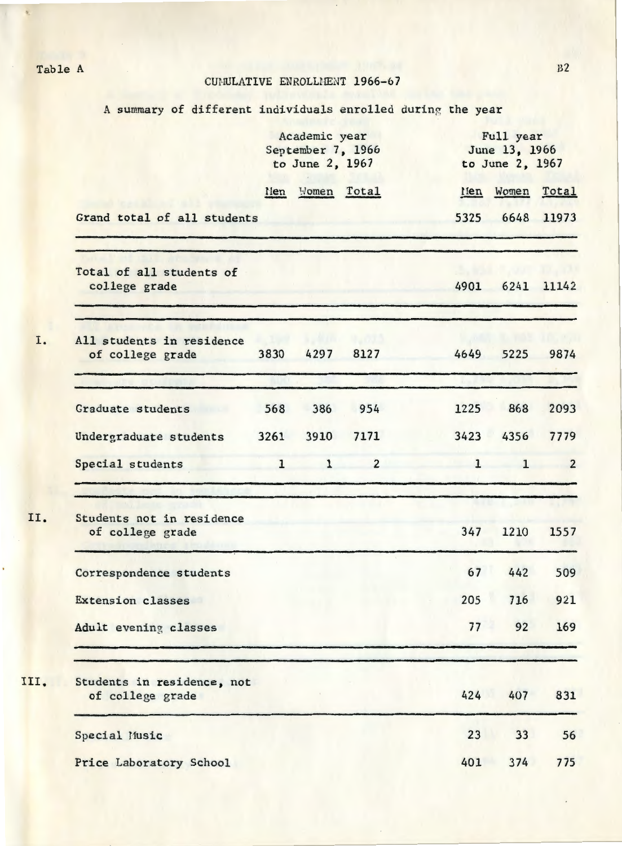Table A B2

A summary of different individuals enrolled during the year

|                                                |              | Academic year<br>September 7, 1966<br>to June 2, 1967 |                | Full year<br>June 13, 1966<br>to June 2, 1967 |              |                |  |
|------------------------------------------------|--------------|-------------------------------------------------------|----------------|-----------------------------------------------|--------------|----------------|--|
|                                                | Nen          | Women Total                                           |                |                                               | Men Women    | Total          |  |
| Grand total of all students                    |              |                                                       |                | 5325                                          | 6648         | 11973          |  |
| Total of all students of<br>college grade      |              |                                                       |                | 4901                                          | 6241         | 11142          |  |
| All students in residence<br>of college grade  | 3830         | 4297                                                  | 8127           | 4649                                          | 5225         | 9874           |  |
| Graduate students                              | 568          | 386                                                   | 954            | 1225                                          | 868          | 2093           |  |
| Undergraduate students                         | 3261         | 3910                                                  | 7171           | 3423                                          | 4356         | 7779           |  |
| Special students                               | $\mathbf{1}$ | $\mathbf{1}$                                          | $\overline{2}$ | $\mathbf{1}$                                  | $\mathbf{1}$ | $\overline{2}$ |  |
| Students not in residence<br>of college grade  |              |                                                       |                | 347                                           | 1210         | 1557           |  |
| Correspondence students                        |              |                                                       |                | 67                                            | 442          | 509            |  |
| <b>Extension classes</b>                       |              |                                                       |                | 205                                           | 716          | 921            |  |
| Adult evening classes                          |              |                                                       |                | 77                                            | 92           | 169            |  |
| Students in residence, not<br>of college grade |              |                                                       |                | 424                                           | 407          | 831            |  |
| Special Music                                  |              |                                                       |                | 23                                            | 33           | 56             |  |
| Price Laboratory School                        |              |                                                       |                | 401                                           | 374          | 775            |  |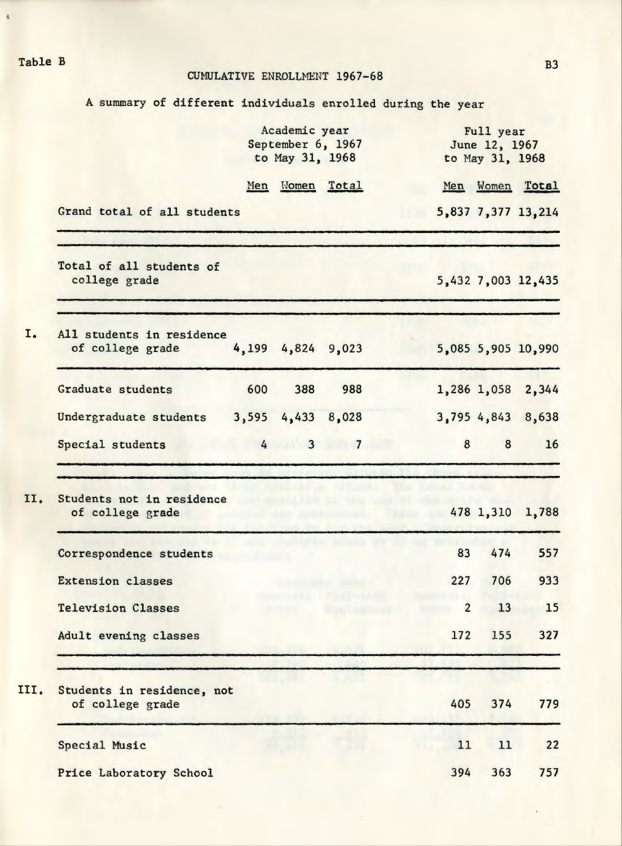Table B B3

#### CUMULATIVE ENROLLMENT 1967-68

A summary of different individuals enrolled during the year

|      |                                                                 |     | Academic year<br>September 6, 1967<br>to May 31, 1968 |             |                | Full year<br>June 12, 1967<br>to May 31, 1968 |                    |  |
|------|-----------------------------------------------------------------|-----|-------------------------------------------------------|-------------|----------------|-----------------------------------------------|--------------------|--|
|      |                                                                 |     | Men Women Total                                       |             |                |                                               | Men Women Total    |  |
|      | Grand total of all students                                     |     |                                                       |             |                |                                               | 5,837 7,377 13,214 |  |
|      | Total of all students of<br>college grade                       |     |                                                       |             |                |                                               | 5,432 7,003 12,435 |  |
| I.   | All students in residence<br>of college grade 4,199 4,824 9,023 |     |                                                       |             |                |                                               | 5,085 5,905 10,990 |  |
|      | Graduate students                                               | 600 | 388                                                   | 988         |                |                                               | 1,286 1,058 2,344  |  |
|      | Undergraduate students $3,595$ 4,433 8,028                      |     |                                                       |             |                |                                               | 3,795 4,843 8,638  |  |
|      | Special students                                                |     |                                                       | $4 \t3 \t7$ | 8              | 8                                             | 16                 |  |
| II.  | Students not in residence<br>of college grade                   |     |                                                       |             |                | 478 1,310                                     | 1,788              |  |
|      | Correspondence students                                         |     |                                                       |             | 83             | 474                                           | 557                |  |
|      | Extension classes                                               |     |                                                       |             | 227            | 706                                           | 933                |  |
|      | <b>Television Classes</b>                                       |     |                                                       |             | $\overline{2}$ | 13                                            | 15                 |  |
|      | Adult evening classes                                           |     |                                                       |             | 172            | 155                                           | 327                |  |
| III. | Students in residence, not<br>of college grade                  |     |                                                       |             | 405            | 374                                           | 779                |  |
|      | Special Music                                                   |     |                                                       |             | 11             | 11                                            | 22                 |  |
|      | Price Laboratory School                                         |     |                                                       |             | 394            | 363                                           | 757                |  |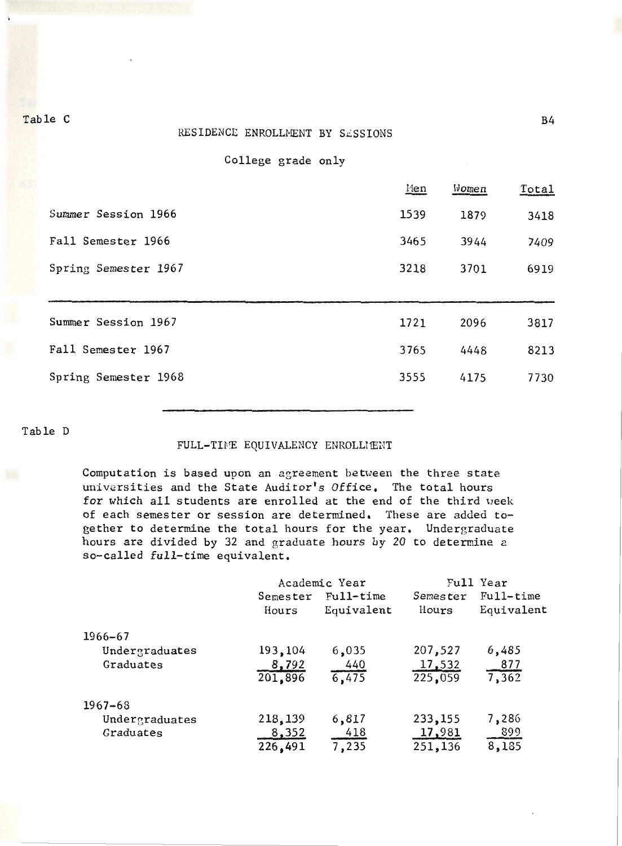#### RESIDENCE ENROLLMENT BY SESSIONS

College grade only

|                      | Men  | Women | <u>Total</u> |
|----------------------|------|-------|--------------|
| Summer Session 1966  | 1539 | 1879  | 3418         |
| Fall Semester 1966   | 3465 | 3944  | 7409         |
| Spring Semester 1967 | 3218 | 3701  | 6919         |
|                      |      |       |              |
| Summer Session 1967  | 1721 | 2096  | 3817         |
| Fall Semester 1967   | 3765 | 4448  | 8213         |
| Spring Semester 1968 |      |       |              |

Table D

### FULL-TIME EQUIVALENCY ENROLLMENT

Computation is based upon an agreement between the three state universities and the State Auditor's Office. The total hours for which all students are enrolled at the end of the third week of each semester or session are determined, These are added together to determine the total hours for the year. Undergraduate hours are divided by 32 and graduate hours by 20 to determine a so-called full-time equivalent.

|                |                   | Academic Year           |                          | Full Year                 |
|----------------|-------------------|-------------------------|--------------------------|---------------------------|
|                | Semester<br>Hours | Full-time<br>Equivalent | Semester<br><b>Hours</b> | $Full-time$<br>Equivalent |
| $1966 - 67$    |                   |                         |                          |                           |
| Undergraduates | 193,104           | 6,035                   | 207,527                  | 6,485                     |
| Graduates      | 8,792             | 440                     | 17,532                   | <u>877</u>                |
|                | 201,896           | 6,475                   | 225,059                  | 7,362                     |
| $1967 - 68$    |                   |                         |                          |                           |
| Undergraduates | 218,139           | 6,817                   | 233,155                  | 7,286                     |
| Graduates      | 8,352             | 418                     | 17,981                   | 899                       |
|                | 226,491           | 7,235                   | 251,136                  | 8,135                     |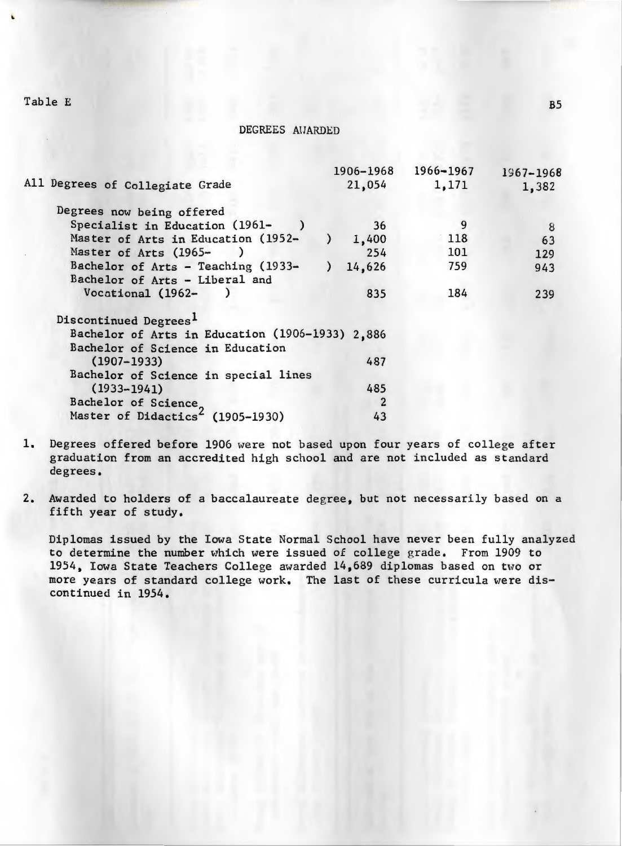Table E

#### DEGREES AHARDED

|       | 1966-1967                                                                        | 1967-1968 |
|-------|----------------------------------------------------------------------------------|-----------|
|       |                                                                                  | 1,382     |
|       |                                                                                  |           |
| 36    | 9                                                                                | 8         |
| 1,400 | 118                                                                              | 63        |
| 254   | 101                                                                              | 129       |
|       | 759                                                                              | 943       |
|       |                                                                                  |           |
| 835   | 184                                                                              | 239       |
|       |                                                                                  |           |
|       |                                                                                  |           |
|       |                                                                                  |           |
| 487   |                                                                                  |           |
|       |                                                                                  |           |
| 485   |                                                                                  |           |
| 2     |                                                                                  |           |
| 43    |                                                                                  |           |
|       | 1906-1968<br>21,054<br>14,626<br>Bachelor of Arts in Education (1906-1933) 2,886 | 1,171     |

- 1. Degrees offered before 1906 were not based upon four years of college after graduation from an accredited high school and are not included as standard degrees.
- 2. Awarded to holders of a baccalaureate degree, but not necessarily based on a fifth year of study.

Diplomas issued by the Iowa State Normal School have never been fully analyzed to determine the number which were issued of college grade. From 1909 to 1954, Iowa State Teachers College awarded 14,689 diplomas based on two or more years of standard college work. The last of these curricula were discontinued in 1954.